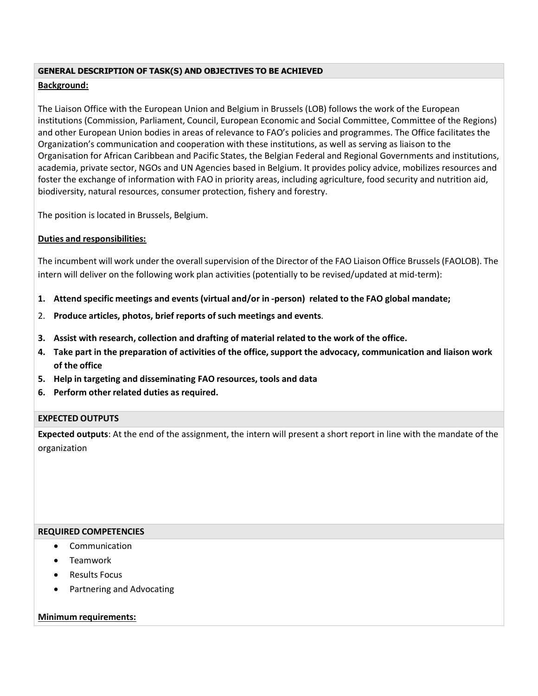#### **GENERAL DESCRIPTION OF TASK(S) AND OBJECTIVES TO BE ACHIEVED**

## **Background:**

The Liaison Office with the European Union and Belgium in Brussels (LOB) follows the work of the European institutions (Commission, Parliament, Council, European Economic and Social Committee, Committee of the Regions) and other European Union bodies in areas of relevance to FAO's policies and programmes. The Office facilitates the Organization's communication and cooperation with these institutions, as well as serving as liaison to the Organisation for African Caribbean and Pacific States, the Belgian Federal and Regional Governments and institutions, academia, private sector, NGOs and UN Agencies based in Belgium. It provides policy advice, mobilizes resources and foster the exchange of information with FAO in priority areas, including agriculture, food security and nutrition aid, biodiversity, natural resources, consumer protection, fishery and forestry.

The position is located in Brussels, Belgium.

# **Duties and responsibilities:**

The incumbent will work under the overall supervision of the Director of the FAO Liaison Office Brussels (FAOLOB). The intern will deliver on the following work plan activities (potentially to be revised/updated at mid-term):

- **1. Attend specific meetings and events (virtual and/or in -person) related to the FAO global mandate;**
- 2. **Produce articles, photos, brief reports of such meetings and events**.
- **3. Assist with research, collection and drafting of material related to the work of the office.**
- **4. Take part in the preparation of activities of the office, support the advocacy, communication and liaison work of the office**
- **5. Help in targeting and disseminating FAO resources, tools and data**
- **6. Perform other related duties as required.**

### **EXPECTED OUTPUTS**

**Expected outputs**: At the end of the assignment, the intern will present a short report in line with the mandate of the organization

### **REQUIRED COMPETENCIES**

- Communication
- **•** Teamwork
- Results Focus
- Partnering and Advocating

### **Minimum requirements:**